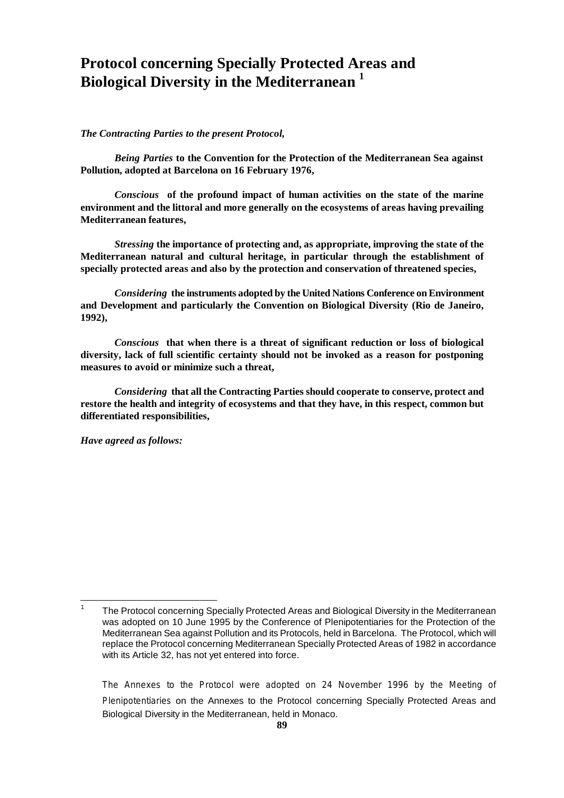# **Protocol concerning Specially Protected Areas and Biological Diversity in the Mediterranean <sup>1</sup>**

### *The Contracting Parties to the present Protocol,*

*Being Parties* **to the Convention for the Protection of the Mediterranean Sea against Pollution, adopted at Barcelona on 16 February 1976,**

*Conscious* **of the profound impact of human activities on the state of the marine environment and the littoral and more generally on the ecosystems of areas having prevailing Mediterranean features,**

*Stressing* **the importance of protecting and, as appropriate, improving the state of the Mediterranean natural and cultural heritage, in particular through the establishment of specially protected areas and also by the protection and conservation of threatened species,**

*Considering* **the instruments adopted by the United Nations Conference on Environment and Development and particularly the Convention on Biological Diversity (Rio de Janeiro, 1992),**

*Conscious* **that when there is a threat of significant reduction or loss of biological diversity, lack of full scientific certainty should not be invoked as a reason for postponing measures to avoid or minimize such a threat,**

*Considering* **that all the Contracting Parties should cooperate to conserve, protect and restore the health and integrity of ecosystems and that they have, in this respect, common but differentiated responsibilities,**

*Have agreed as follows:*

 $\frac{1}{1}$ The Protocol concerning Specially Protected Areas and Biological Diversity in the Mediterranean was adopted on 10 June 1995 by the Conference of Plenipotentiaries for the Protection of the Mediterranean Sea against Pollution and its Protocols, held in Barcelona. The Protocol, which will replace the Protocol concerning Mediterranean Specially Protected Areas of 1982 in accordance with its Article 32, has not yet entered into force.

The Annexes to the Protocol were adopted on 24 November 1996 by the Meeting of Plenipotentiaries on the Annexes to the Protocol concerning Specially Protected Areas and Biological Diversity in the Mediterranean, held in Monaco.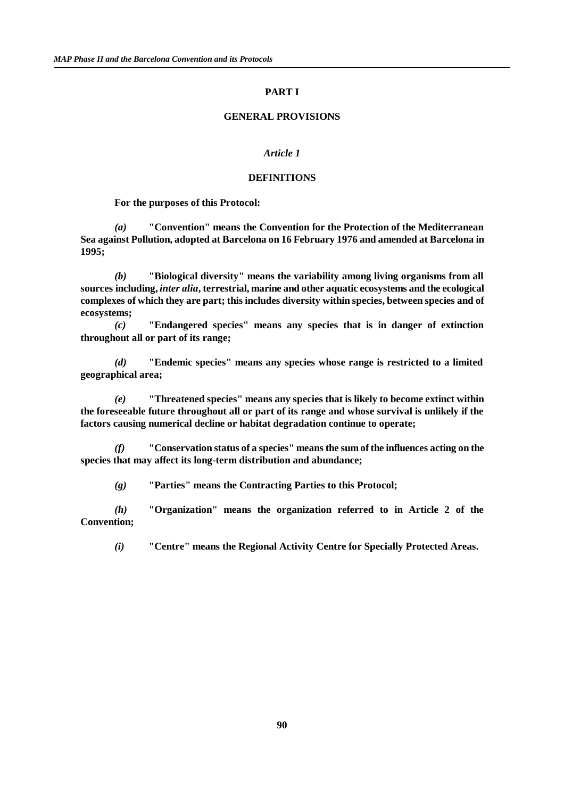# **PART I**

# **GENERAL PROVISIONS**

# *Article 1*

# **DEFINITIONS**

**For the purposes of this Protocol:**

*(a)* **"Convention" means the Convention for the Protection of the Mediterranean Sea against Pollution, adopted at Barcelona on 16 February 1976 and amended at Barcelona in 1995;**

*(b)* **"Biological diversity" means the variability among living organisms from all sources including,** *inter alia***, terrestrial, marine and other aquatic ecosystems and the ecological complexes of which they are part; this includes diversity within species, between species and of ecosystems;**

*(c)* **"Endangered species" means any species that is in danger of extinction throughout all or part of its range;**

*(d)* **"Endemic species" means any species whose range is restricted to a limited geographical area;**

*(e)* **"Threatened species" means any species that is likely to become extinct within the foreseeable future throughout all or part of its range and whose survival is unlikely if the factors causing numerical decline or habitat degradation continue to operate;**

*(f)* **"Conservation status of a species" means the sum of the influences acting on the species that may affect its long-term distribution and abundance;**

*(g)* **"Parties" means the Contracting Parties to this Protocol;**

*(h)* **"Organization" means the organization referred to in Article 2 of the Convention;**

*(i)* **"Centre" means the Regional Activity Centre for Specially Protected Areas.**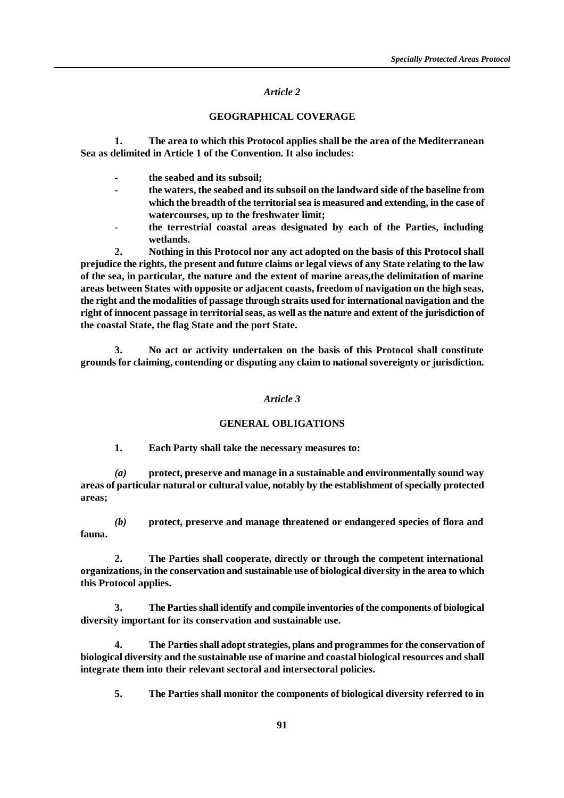# *Article 2*

#### **GEOGRAPHICAL COVERAGE**

**1. The area to which this Protocol applies shall be the area of the Mediterranean Sea as delimited in Article 1 of the Convention. It also includes:**

- **- the seabed and its subsoil;**
- **- the waters, the seabed and its subsoil on the landward side of the baseline from which the breadth of the territorial sea is measured and extending, in the case of watercourses, up to the freshwater limit;**
- **- the terrestrial coastal areas designated by each of the Parties, including wetlands.**

**2. Nothing in this Protocol nor any act adopted on the basis of this Protocol shall prejudice the rights, the present and future claims or legal views of any State relating to the law of the sea, in particular, the nature and the extent of marine areas,the delimitation of marine areas between States with opposite or adjacent coasts, freedom of navigation on the high seas, the right and the modalities of passage through straits used for international navigation and the right of innocent passage in territorial seas, as well as the nature and extent of the jurisdiction of the coastal State, the flag State and the port State.** 

**3. No act or activity undertaken on the basis of this Protocol shall constitute grounds for claiming, contending or disputing any claim to national sovereignty or jurisdiction.**

#### *Article 3*

# **GENERAL OBLIGATIONS**

**1. Each Party shall take the necessary measures to:**

*(a)* **protect, preserve and manage in a sustainable and environmentally sound way areas of particular natural or cultural value, notably by the establishment of specially protected areas;**

*(b)* **protect, preserve and manage threatened or endangered species of flora and fauna.**

**2. The Parties shall cooperate, directly or through the competent international organizations, in the conservation and sustainable use of biological diversity in the area to which this Protocol applies.**

**3. The Parties shall identify and compile inventories of the components of biological diversity important for its conservation and sustainable use.**

**4. The Parties shall adopt strategies, plans and programmes for the conservation of biological diversity and the sustainable use of marine and coastal biological resources and shall integrate them into their relevant sectoral and intersectoral policies.**

**5. The Parties shall monitor the components of biological diversity referred to in**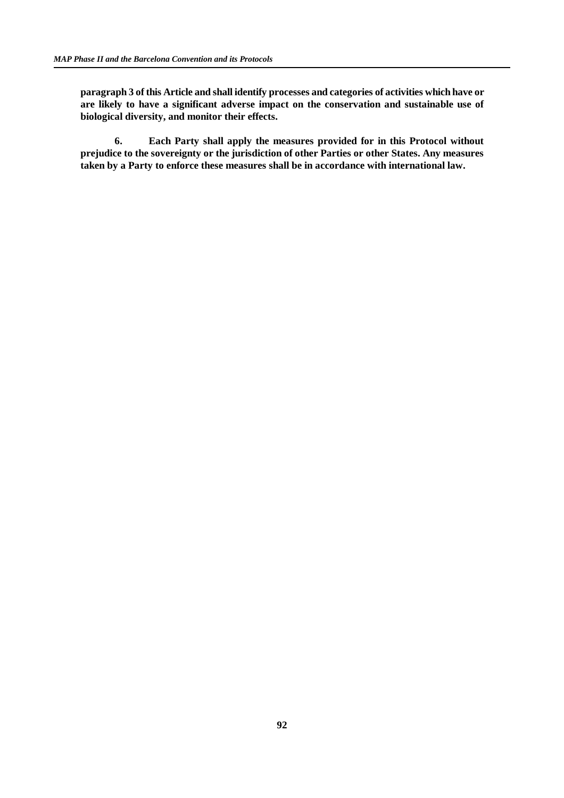**paragraph 3 of this Article and shall identify processes and categories of activities which have or are likely to have a significant adverse impact on the conservation and sustainable use of biological diversity, and monitor their effects.**

**6. Each Party shall apply the measures provided for in this Protocol without prejudice to the sovereignty or the jurisdiction of other Parties or other States. Any measures taken by a Party to enforce these measures shall be in accordance with international law.**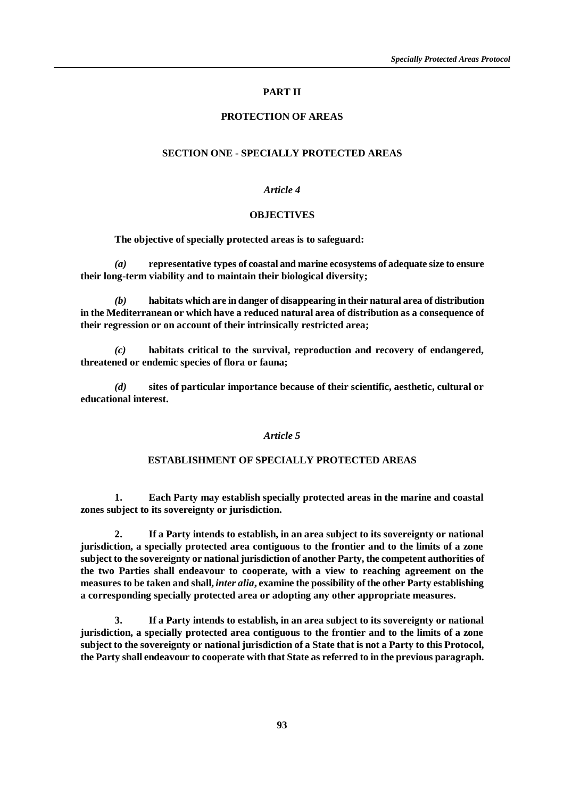# **PART II**

## **PROTECTION OF AREAS**

# **SECTION ONE - SPECIALLY PROTECTED AREAS**

#### *Article 4*

### **OBJECTIVES**

**The objective of specially protected areas is to safeguard:** 

*(a)* **representative types of coastal and marine ecosystems of adequate size to ensure their long-term viability and to maintain their biological diversity;**

*(b)* **habitats which are in danger of disappearing in their natural area of distribution in the Mediterranean or which have a reduced natural area of distribution as a consequence of their regression or on account of their intrinsically restricted area;**

*(c)* **habitats critical to the survival, reproduction and recovery of endangered, threatened or endemic species of flora or fauna;**

*(d)* **sites of particular importance because of their scientific, aesthetic, cultural or educational interest.**

### *Article 5*

# **ESTABLISHMENT OF SPECIALLY PROTECTED AREAS**

**1. Each Party may establish specially protected areas in the marine and coastal zones subject to its sovereignty or jurisdiction.**

**2. If a Party intends to establish, in an area subject to its sovereignty or national jurisdiction, a specially protected area contiguous to the frontier and to the limits of a zone subject to the sovereignty or national jurisdiction of another Party, the competent authorities of the two Parties shall endeavour to cooperate, with a view to reaching agreement on the measures to be taken and shall,** *inter alia***, examine the possibility of the other Party establishing a corresponding specially protected area or adopting any other appropriate measures.**

**3. If a Party intends to establish, in an area subject to its sovereignty or national jurisdiction, a specially protected area contiguous to the frontier and to the limits of a zone subject to the sovereignty or national jurisdiction of a State that is not a Party to this Protocol, the Party shall endeavour to cooperate with that State as referred to in the previous paragraph.**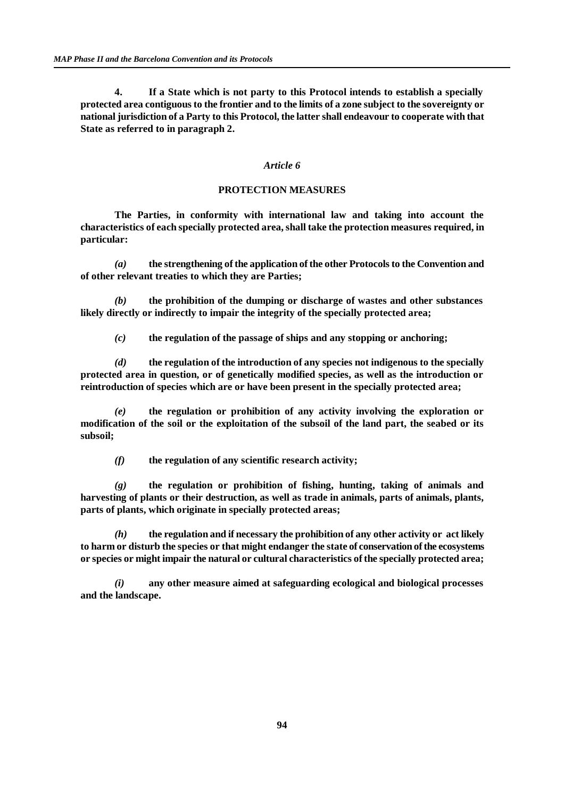**4. If a State which is not party to this Protocol intends to establish a specially protected area contiguous to the frontier and to the limits of a zone subject to the sovereignty or national jurisdiction of a Party to this Protocol, the latter shall endeavour to cooperate with that State as referred to in paragraph 2.**

### *Article 6*

### **PROTECTION MEASURES**

**The Parties, in conformity with international law and taking into account the characteristics of each specially protected area, shall take the protection measures required, in particular:**

*(a)* **the strengthening of the application of the other Protocols to the Convention and of other relevant treaties to which they are Parties;**

*(b)* **the prohibition of the dumping or discharge of wastes and other substances likely directly or indirectly to impair the integrity of the specially protected area;**

*(c)* **the regulation of the passage of ships and any stopping or anchoring;**

*(d)* **the regulation of the introduction of any species not indigenous to the specially protected area in question, or of genetically modified species, as well as the introduction or reintroduction of species which are or have been present in the specially protected area;**

*(e)* **the regulation or prohibition of any activity involving the exploration or modification of the soil or the exploitation of the subsoil of the land part, the seabed or its subsoil;**

*(f)* **the regulation of any scientific research activity;**

*(g)* **the regulation or prohibition of fishing, hunting, taking of animals and harvesting of plants or their destruction, as well as trade in animals, parts of animals, plants, parts of plants, which originate in specially protected areas;**

*(h)* **the regulation and if necessary the prohibition of any other activity or act likely to harm or disturb the species or that might endanger the state of conservation of the ecosystems or species or might impair the natural or cultural characteristics of the specially protected area;**

*(i)* **any other measure aimed at safeguarding ecological and biological processes and the landscape.**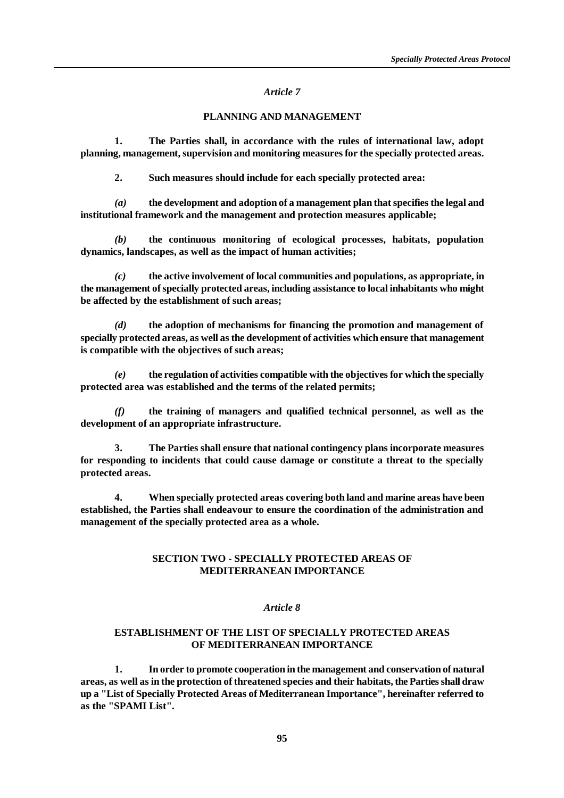# *Article 7*

## **PLANNING AND MANAGEMENT**

**1. The Parties shall, in accordance with the rules of international law, adopt planning, management, supervision and monitoring measures for the specially protected areas.**

**2. Such measures should include for each specially protected area:**

*(a)* **the development and adoption of a management plan that specifies the legal and institutional framework and the management and protection measures applicable;**

*(b)* **the continuous monitoring of ecological processes, habitats, population dynamics, landscapes, as well as the impact of human activities;**

*(c)* **the active involvement of local communities and populations, as appropriate, in the management of specially protected areas, including assistance to local inhabitants who might be affected by the establishment of such areas;**

*(d)* **the adoption of mechanisms for financing the promotion and management of specially protected areas, as well as the development of activities which ensure that management is compatible with the objectives of such areas;**

*(e)* **the regulation of activities compatible with the objectives for which the specially protected area was established and the terms of the related permits;**

*(f)* **the training of managers and qualified technical personnel, as well as the development of an appropriate infrastructure.**

**3. The Parties shall ensure that national contingency plans incorporate measures for responding to incidents that could cause damage or constitute a threat to the specially protected areas.**

**4. When specially protected areas covering both land and marine areas have been established, the Parties shall endeavour to ensure the coordination of the administration and management of the specially protected area as a whole.**

# **SECTION TWO - SPECIALLY PROTECTED AREAS OF MEDITERRANEAN IMPORTANCE**

# *Article 8*

# **ESTABLISHMENT OF THE LIST OF SPECIALLY PROTECTED AREAS OF MEDITERRANEAN IMPORTANCE**

**1. In order to promote cooperation in the management and conservation of natural areas, as well as in the protection of threatened species and their habitats, the Parties shall draw up a "List of Specially Protected Areas of Mediterranean Importance", hereinafter referred to as the "SPAMI List".**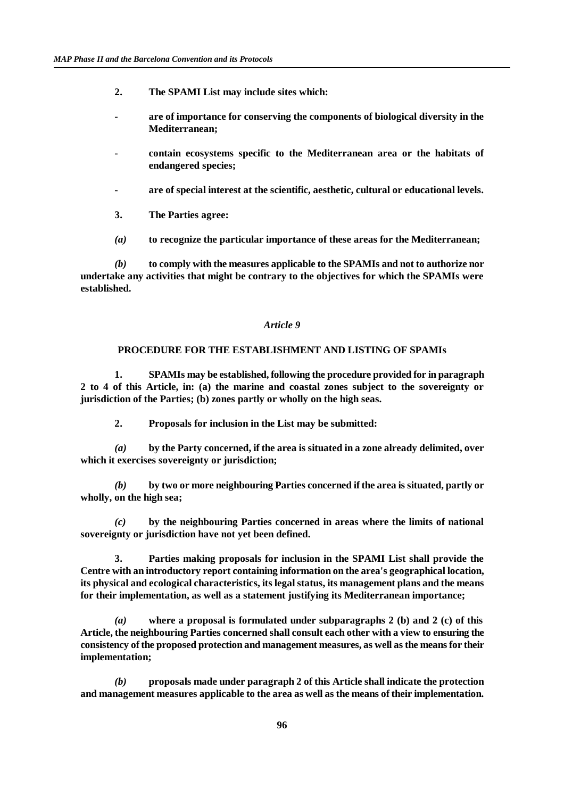- **2. The SPAMI List may include sites which:**
- **- are of importance for conserving the components of biological diversity in the Mediterranean;**
- **- contain ecosystems specific to the Mediterranean area or the habitats of endangered species;**
- **- are of special interest at the scientific, aesthetic, cultural or educational levels.**
- **3. The Parties agree:**
- *(a)* **to recognize the particular importance of these areas for the Mediterranean;**

*(b)* **to comply with the measures applicable to the SPAMIs and not to authorize nor undertake any activities that might be contrary to the objectives for which the SPAMIs were established.**

#### *Article 9*

# **PROCEDURE FOR THE ESTABLISHMENT AND LISTING OF SPAMIs**

**1. SPAMIs may be established, following the procedure provided for in paragraph 2 to 4 of this Article, in: (a) the marine and coastal zones subject to the sovereignty or jurisdiction of the Parties; (b) zones partly or wholly on the high seas.**

**2. Proposals for inclusion in the List may be submitted:**

*(a)* **by the Party concerned, if the area is situated in a zone already delimited, over which it exercises sovereignty or jurisdiction;**

*(b)* **by two or more neighbouring Parties concerned if the area is situated, partly or wholly, on the high sea;**

*(c)* **by the neighbouring Parties concerned in areas where the limits of national sovereignty or jurisdiction have not yet been defined.**

**3. Parties making proposals for inclusion in the SPAMI List shall provide the Centre with an introductory report containing information on the area's geographical location, its physical and ecological characteristics, its legal status, its management plans and the means for their implementation, as well as a statement justifying its Mediterranean importance;**

*(a)* **where a proposal is formulated under subparagraphs 2 (b) and 2 (c) of this Article, the neighbouring Parties concerned shall consult each other with a view to ensuring the consistency of the proposed protection and management measures, as well as the means for their implementation;**

*(b)* **proposals made under paragraph 2 of this Article shall indicate the protection and management measures applicable to the area as well as the means of their implementation.**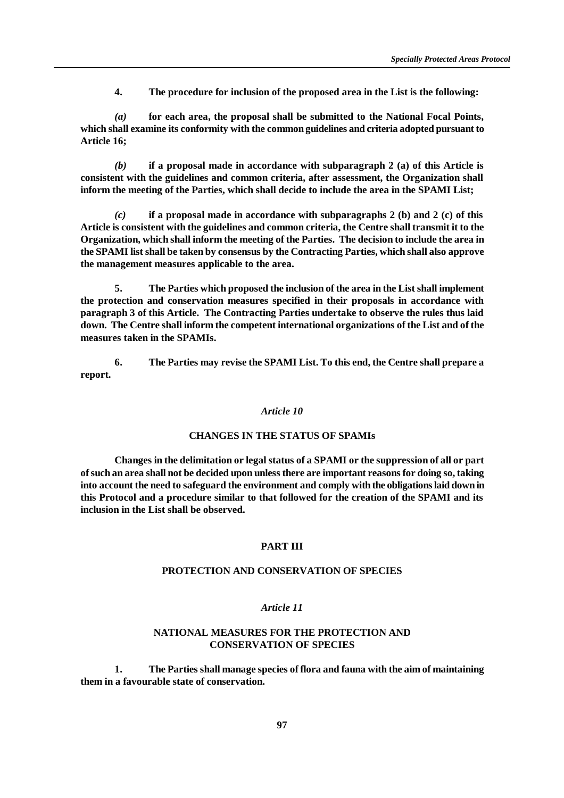**4. The procedure for inclusion of the proposed area in the List is the following:**

*(a)* **for each area, the proposal shall be submitted to the National Focal Points, which shall examine its conformity with the common guidelines and criteria adopted pursuant to Article 16;**

*(b)* **if a proposal made in accordance with subparagraph 2 (a) of this Article is consistent with the guidelines and common criteria, after assessment, the Organization shall inform the meeting of the Parties, which shall decide to include the area in the SPAMI List;** 

*(c)* **if a proposal made in accordance with subparagraphs 2 (b) and 2 (c) of this Article is consistent with the guidelines and common criteria, the Centre shall transmit it to the Organization, which shall inform the meeting of the Parties. The decision to include the area in the SPAMI list shall be taken by consensus by the Contracting Parties, which shall also approve the management measures applicable to the area.**

**5. The Parties which proposed the inclusion of the area in the List shall implement the protection and conservation measures specified in their proposals in accordance with paragraph 3 of this Article. The Contracting Parties undertake to observe the rules thus laid down. The Centre shall inform the competent international organizations of the List and of the measures taken in the SPAMIs.**

**6. The Parties may revise the SPAMI List. To this end, the Centre shall prepare a report.**

### *Article 10*

### **CHANGES IN THE STATUS OF SPAMIs**

**Changes in the delimitation or legal status of a SPAMI or the suppression of all or part of such an area shall not be decided upon unless there are important reasons for doing so, taking into account the need to safeguard the environment and comply with the obligations laid down in this Protocol and a procedure similar to that followed for the creation of the SPAMI and its inclusion in the List shall be observed.**

# **PART III**

## **PROTECTION AND CONSERVATION OF SPECIES**

# *Article 11*

# **NATIONAL MEASURES FOR THE PROTECTION AND CONSERVATION OF SPECIES**

**1. The Parties shall manage species of flora and fauna with the aim of maintaining them in a favourable state of conservation.**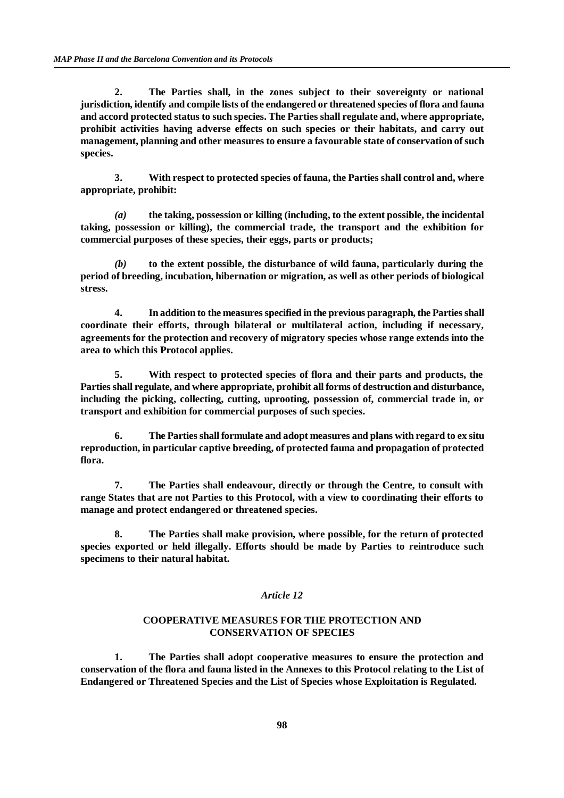**2. The Parties shall, in the zones subject to their sovereignty or national jurisdiction, identify and compile lists of the endangered or threatened species of flora and fauna and accord protected status to such species. The Parties shall regulate and, where appropriate, prohibit activities having adverse effects on such species or their habitats, and carry out management, planning and other measures to ensure a favourable state of conservation of such species.**

**3. With respect to protected species of fauna, the Parties shall control and, where appropriate, prohibit:**

*(a)* **the taking, possession or killing (including, to the extent possible, the incidental taking, possession or killing), the commercial trade, the transport and the exhibition for commercial purposes of these species, their eggs, parts or products;**

*(b)* **to the extent possible, the disturbance of wild fauna, particularly during the period of breeding, incubation, hibernation or migration, as well as other periods of biological stress.**

**4. In addition to the measures specified in the previous paragraph, the Parties shall coordinate their efforts, through bilateral or multilateral action, including if necessary, agreements for the protection and recovery of migratory species whose range extends into the area to which this Protocol applies.**

**5. With respect to protected species of flora and their parts and products, the Parties shall regulate, and where appropriate, prohibit all forms of destruction and disturbance, including the picking, collecting, cutting, uprooting, possession of, commercial trade in, or transport and exhibition for commercial purposes of such species.**

**6. The Parties shall formulate and adopt measures and plans with regard to ex situ reproduction, in particular captive breeding, of protected fauna and propagation of protected flora.**

**7. The Parties shall endeavour, directly or through the Centre, to consult with range States that are not Parties to this Protocol, with a view to coordinating their efforts to manage and protect endangered or threatened species.**

**8. The Parties shall make provision, where possible, for the return of protected species exported or held illegally. Efforts should be made by Parties to reintroduce such specimens to their natural habitat.**

### *Article 12*

# **COOPERATIVE MEASURES FOR THE PROTECTION AND CONSERVATION OF SPECIES**

**1. The Parties shall adopt cooperative measures to ensure the protection and conservation of the flora and fauna listed in the Annexes to this Protocol relating to the List of Endangered or Threatened Species and the List of Species whose Exploitation is Regulated.**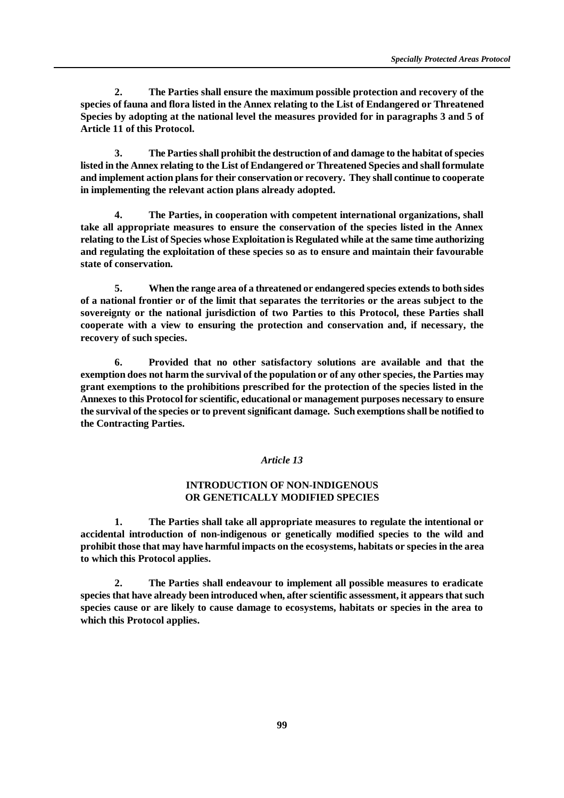**2. The Parties shall ensure the maximum possible protection and recovery of the species of fauna and flora listed in the Annex relating to the List of Endangered or Threatened Species by adopting at the national level the measures provided for in paragraphs 3 and 5 of Article 11 of this Protocol.**

**3. The Parties shall prohibit the destruction of and damage to the habitat of species listed in the Annex relating to the List of Endangered or Threatened Species and shall formulate and implement action plans for their conservation or recovery. They shall continue to cooperate in implementing the relevant action plans already adopted.**

**4. The Parties, in cooperation with competent international organizations, shall take all appropriate measures to ensure the conservation of the species listed in the Annex relating to the List of Species whose Exploitation is Regulated while at the same time authorizing and regulating the exploitation of these species so as to ensure and maintain their favourable state of conservation.**

**5. When the range area of a threatened or endangered species extends to both sides of a national frontier or of the limit that separates the territories or the areas subject to the sovereignty or the national jurisdiction of two Parties to this Protocol, these Parties shall cooperate with a view to ensuring the protection and conservation and, if necessary, the recovery of such species.**

**6. Provided that no other satisfactory solutions are available and that the exemption does not harm the survival of the population or of any other species, the Parties may grant exemptions to the prohibitions prescribed for the protection of the species listed in the Annexes to this Protocol for scientific, educational or management purposes necessary to ensure the survival of the species or to prevent significant damage. Such exemptions shall be notified to the Contracting Parties.**

### *Article 13*

# **INTRODUCTION OF NON-INDIGENOUS OR GENETICALLY MODIFIED SPECIES**

**1. The Parties shall take all appropriate measures to regulate the intentional or accidental introduction of non-indigenous or genetically modified species to the wild and prohibit those that may have harmful impacts on the ecosystems, habitats or species in the area to which this Protocol applies.**

**2. The Parties shall endeavour to implement all possible measures to eradicate species that have already been introduced when, after scientific assessment, it appears that such species cause or are likely to cause damage to ecosystems, habitats or species in the area to which this Protocol applies.**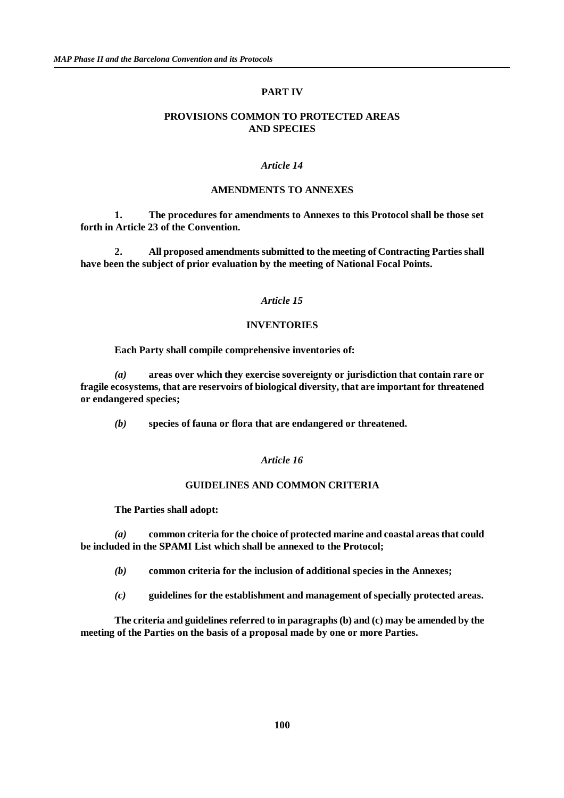# **PART IV**

# **PROVISIONS COMMON TO PROTECTED AREAS AND SPECIES**

# *Article 14*

# **AMENDMENTS TO ANNEXES**

**1. The procedures for amendments to Annexes to this Protocol shall be those set forth in Article 23 of the Convention.**

**2. All proposed amendments submitted to the meeting of Contracting Parties shall have been the subject of prior evaluation by the meeting of National Focal Points.**

# *Article 15*

# **INVENTORIES**

**Each Party shall compile comprehensive inventories of:**

*(a)* **areas over which they exercise sovereignty or jurisdiction that contain rare or fragile ecosystems, that are reservoirs of biological diversity, that are important for threatened or endangered species;**

*(b)* **species of fauna or flora that are endangered or threatened.**

### *Article 16*

# **GUIDELINES AND COMMON CRITERIA**

**The Parties shall adopt:**

*(a)* **common criteria for the choice of protected marine and coastal areas that could be included in the SPAMI List which shall be annexed to the Protocol;**

*(b)* **common criteria for the inclusion of additional species in the Annexes;**

*(c)* **guidelines for the establishment and management of specially protected areas.**

**The criteria and guidelines referred to in paragraphs (b) and (c) may be amended by the meeting of the Parties on the basis of a proposal made by one or more Parties.**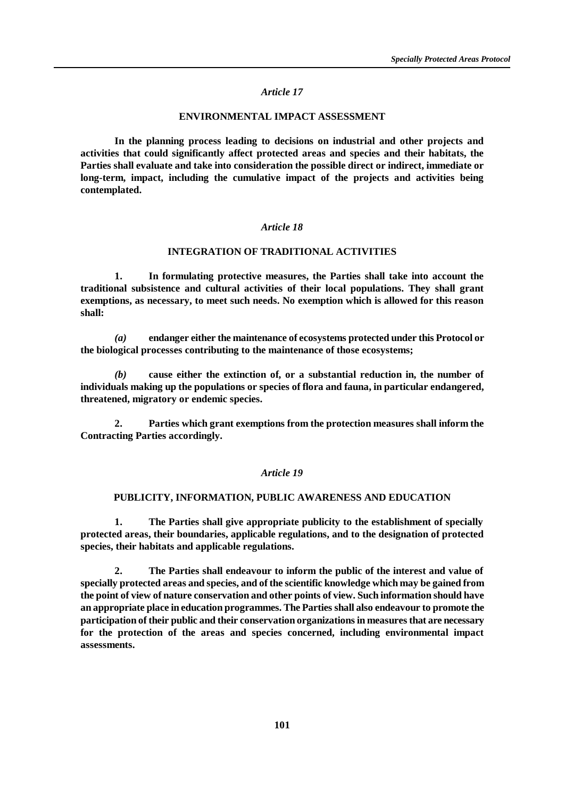# *Article 17*

#### **ENVIRONMENTAL IMPACT ASSESSMENT**

**In the planning process leading to decisions on industrial and other projects and activities that could significantly affect protected areas and species and their habitats, the Parties shall evaluate and take into consideration the possible direct or indirect, immediate or long-term, impact, including the cumulative impact of the projects and activities being contemplated.**

### *Article 18*

## **INTEGRATION OF TRADITIONAL ACTIVITIES**

**1. In formulating protective measures, the Parties shall take into account the traditional subsistence and cultural activities of their local populations. They shall grant exemptions, as necessary, to meet such needs. No exemption which is allowed for this reason shall:**

*(a)* **endanger either the maintenance of ecosystems protected under this Protocol or the biological processes contributing to the maintenance of those ecosystems;** 

*(b)* **cause either the extinction of, or a substantial reduction in, the number of individuals making up the populations or species of flora and fauna, in particular endangered, threatened, migratory or endemic species.**

**2. Parties which grant exemptions from the protection measures shall inform the Contracting Parties accordingly.**

### *Article 19*

#### **PUBLICITY, INFORMATION, PUBLIC AWARENESS AND EDUCATION**

**1. The Parties shall give appropriate publicity to the establishment of specially protected areas, their boundaries, applicable regulations, and to the designation of protected species, their habitats and applicable regulations.**

**2. The Parties shall endeavour to inform the public of the interest and value of specially protected areas and species, and of the scientific knowledge which may be gained from the point of view of nature conservation and other points of view. Such information should have an appropriate place in education programmes. The Parties shall also endeavour to promote the participation of their public and their conservation organizations in measures that are necessary for the protection of the areas and species concerned, including environmental impact assessments.**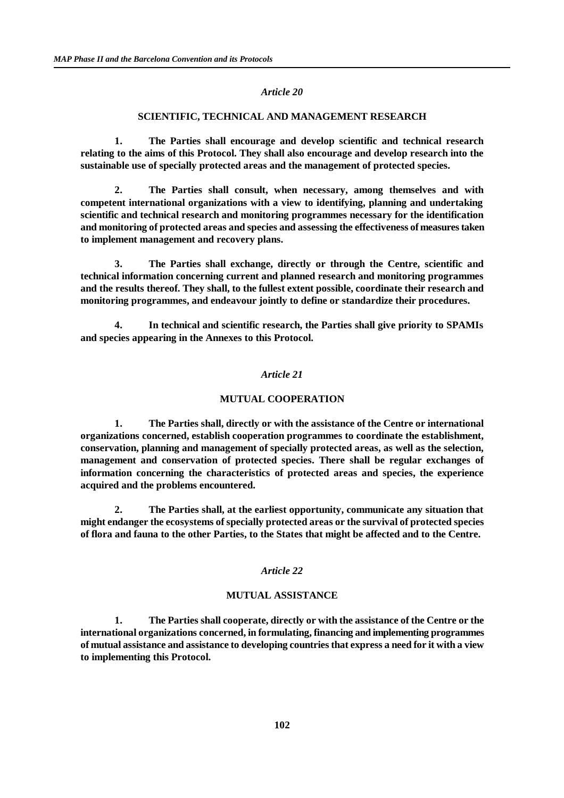# *Article 20*

#### **SCIENTIFIC, TECHNICAL AND MANAGEMENT RESEARCH**

**1. The Parties shall encourage and develop scientific and technical research relating to the aims of this Protocol. They shall also encourage and develop research into the sustainable use of specially protected areas and the management of protected species.**

**2. The Parties shall consult, when necessary, among themselves and with competent international organizations with a view to identifying, planning and undertaking scientific and technical research and monitoring programmes necessary for the identification and monitoring of protected areas and species and assessing the effectiveness of measures taken to implement management and recovery plans.**

**3. The Parties shall exchange, directly or through the Centre, scientific and technical information concerning current and planned research and monitoring programmes and the results thereof. They shall, to the fullest extent possible, coordinate their research and monitoring programmes, and endeavour jointly to define or standardize their procedures.**

**4. In technical and scientific research, the Parties shall give priority to SPAMIs and species appearing in the Annexes to this Protocol.**

#### *Article 21*

#### **MUTUAL COOPERATION**

**1. The Parties shall, directly or with the assistance of the Centre or international organizations concerned, establish cooperation programmes to coordinate the establishment, conservation, planning and management of specially protected areas, as well as the selection, management and conservation of protected species. There shall be regular exchanges of information concerning the characteristics of protected areas and species, the experience acquired and the problems encountered.**

**2. The Parties shall, at the earliest opportunity, communicate any situation that might endanger the ecosystems of specially protected areas or the survival of protected species of flora and fauna to the other Parties, to the States that might be affected and to the Centre.**

# *Article 22*

# **MUTUAL ASSISTANCE**

**1. The Parties shall cooperate, directly or with the assistance of the Centre or the international organizations concerned, in formulating, financing and implementing programmes of mutual assistance and assistance to developing countries that express a need for it with a view to implementing this Protocol.**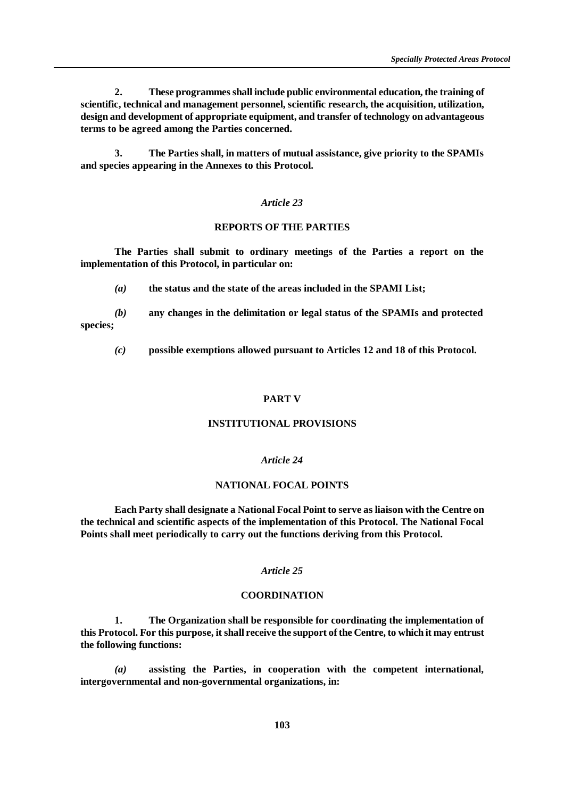**2. These programmes shall include public environmental education, the training of scientific, technical and management personnel, scientific research, the acquisition, utilization, design and development of appropriate equipment, and transfer of technology on advantageous terms to be agreed among the Parties concerned.**

**3. The Parties shall, in matters of mutual assistance, give priority to the SPAMIs and species appearing in the Annexes to this Protocol.**

# *Article 23*

# **REPORTS OF THE PARTIES**

**The Parties shall submit to ordinary meetings of the Parties a report on the implementation of this Protocol, in particular on:**

*(a)* **the status and the state of the areas included in the SPAMI List;**

*(b)* **any changes in the delimitation or legal status of the SPAMIs and protected species;**

*(c)* **possible exemptions allowed pursuant to Articles 12 and 18 of this Protocol.**

#### **PART V**

### **INSTITUTIONAL PROVISIONS**

#### *Article 24*

# **NATIONAL FOCAL POINTS**

**Each Party shall designate a National Focal Point to serve as liaison with the Centre on the technical and scientific aspects of the implementation of this Protocol. The National Focal Points shall meet periodically to carry out the functions deriving from this Protocol.**

# *Article 25*

# **COORDINATION**

**1. The Organization shall be responsible for coordinating the implementation of this Protocol. For this purpose, it shall receive the support of the Centre, to which it may entrust the following functions:**

*(a)* **assisting the Parties, in cooperation with the competent international, intergovernmental and non-governmental organizations, in:**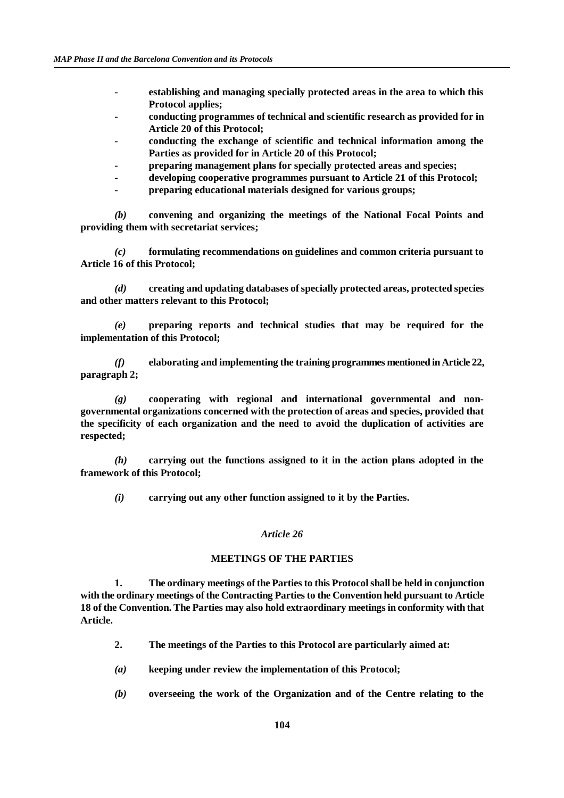- **- establishing and managing specially protected areas in the area to which this Protocol applies;**
- **- conducting programmes of technical and scientific research as provided for in Article 20 of this Protocol;**
- **- conducting the exchange of scientific and technical information among the Parties as provided for in Article 20 of this Protocol;**
- **- preparing management plans for specially protected areas and species;**
- **- developing cooperative programmes pursuant to Article 21 of this Protocol;**
- **- preparing educational materials designed for various groups;**

*(b)* **convening and organizing the meetings of the National Focal Points and providing them with secretariat services;**

*(c)* **formulating recommendations on guidelines and common criteria pursuant to Article 16 of this Protocol;**

*(d)* **creating and updating databases of specially protected areas, protected species and other matters relevant to this Protocol;**

*(e)* **preparing reports and technical studies that may be required for the implementation of this Protocol;**

*(f)* **elaborating and implementing the training programmes mentioned in Article 22, paragraph 2;**

*(g)* **cooperating with regional and international governmental and nongovernmental organizations concerned with the protection of areas and species, provided that the specificity of each organization and the need to avoid the duplication of activities are respected;**

*(h)* **carrying out the functions assigned to it in the action plans adopted in the framework of this Protocol;**

*(i)* **carrying out any other function assigned to it by the Parties.**

#### *Article 26*

# **MEETINGS OF THE PARTIES**

**1. The ordinary meetings of the Parties to this Protocol shall be held in conjunction with the ordinary meetings of the Contracting Parties to the Convention held pursuant to Article 18 of the Convention. The Parties may also hold extraordinary meetings in conformity with that Article.** 

- **2. The meetings of the Parties to this Protocol are particularly aimed at:**
- *(a)* **keeping under review the implementation of this Protocol;**
- *(b)* **overseeing the work of the Organization and of the Centre relating to the**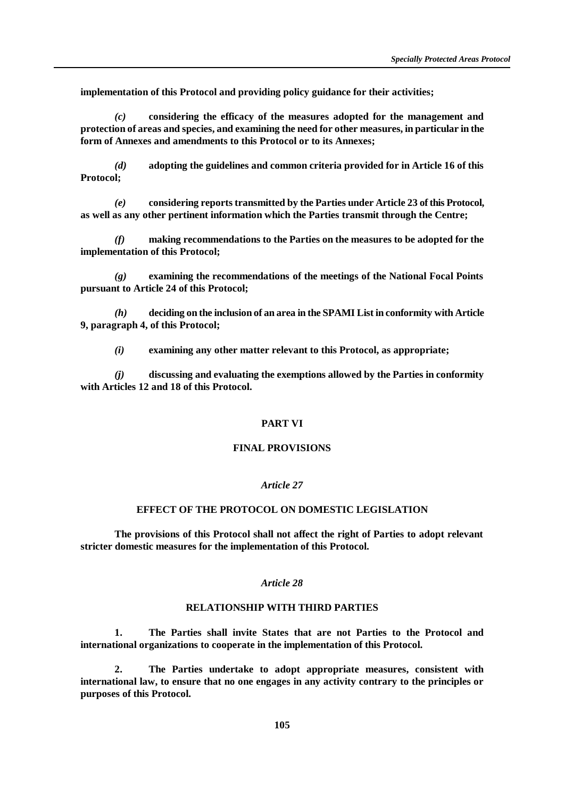**implementation of this Protocol and providing policy guidance for their activities;**

*(c)* **considering the efficacy of the measures adopted for the management and protection of areas and species, and examining the need for other measures, in particular in the form of Annexes and amendments to this Protocol or to its Annexes;**

*(d)* **adopting the guidelines and common criteria provided for in Article 16 of this Protocol;**

*(e)* **considering reports transmitted by the Parties under Article 23 of this Protocol, as well as any other pertinent information which the Parties transmit through the Centre;**

*(f)* **making recommendations to the Parties on the measures to be adopted for the implementation of this Protocol;**

*(g)* **examining the recommendations of the meetings of the National Focal Points pursuant to Article 24 of this Protocol;**

*(h)* **deciding on the inclusion of an area in the SPAMI List in conformity with Article 9, paragraph 4, of this Protocol;**

*(i)* **examining any other matter relevant to this Protocol, as appropriate;**

*(j)* **discussing and evaluating the exemptions allowed by the Parties in conformity with Articles 12 and 18 of this Protocol.**

### **PART VI**

# **FINAL PROVISIONS**

# *Article 27*

# **EFFECT OF THE PROTOCOL ON DOMESTIC LEGISLATION**

**The provisions of this Protocol shall not affect the right of Parties to adopt relevant stricter domestic measures for the implementation of this Protocol.**

### *Article 28*

### **RELATIONSHIP WITH THIRD PARTIES**

**1. The Parties shall invite States that are not Parties to the Protocol and international organizations to cooperate in the implementation of this Protocol.**

**2. The Parties undertake to adopt appropriate measures, consistent with international law, to ensure that no one engages in any activity contrary to the principles or purposes of this Protocol.**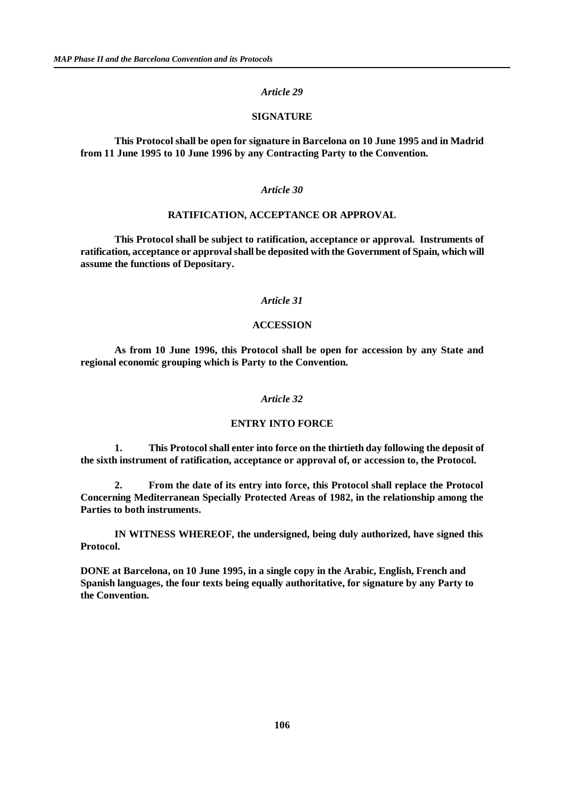# *Article 29*

#### **SIGNATURE**

**This Protocol shall be open for signature in Barcelona on 10 June 1995 and in Madrid from 11 June 1995 to 10 June 1996 by any Contracting Party to the Convention.**

# *Article 30*

# **RATIFICATION, ACCEPTANCE OR APPROVAL**

**This Protocol shall be subject to ratification, acceptance or approval. Instruments of ratification, acceptance or approval shall be deposited with the Government of Spain, which will assume the functions of Depositary.**

# *Article 31*

### **ACCESSION**

**As from 10 June 1996, this Protocol shall be open for accession by any State and regional economic grouping which is Party to the Convention.**

### *Article 32*

# **ENTRY INTO FORCE**

**1. This Protocol shall enter into force on the thirtieth day following the deposit of the sixth instrument of ratification, acceptance or approval of, or accession to, the Protocol.**

**2. From the date of its entry into force, this Protocol shall replace the Protocol Concerning Mediterranean Specially Protected Areas of 1982, in the relationship among the Parties to both instruments.**

**IN WITNESS WHEREOF, the undersigned, being duly authorized, have signed this Protocol.**

**DONE at Barcelona, on 10 June 1995, in a single copy in the Arabic, English, French and Spanish languages, the four texts being equally authoritative, for signature by any Party to the Convention.**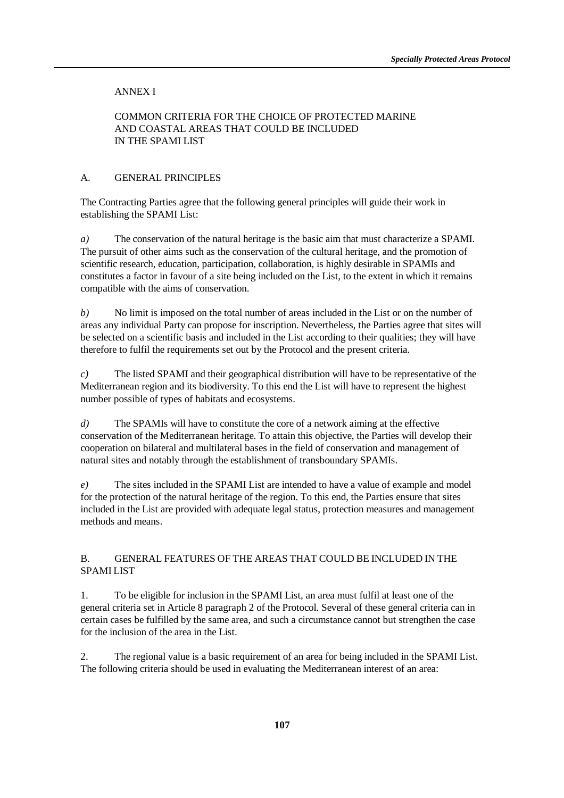# ANNEX I

# COMMON CRITERIA FOR THE CHOICE OF PROTECTED MARINE AND COASTAL AREAS THAT COULD BE INCLUDED IN THE SPAMI LIST

# A. GENERAL PRINCIPLES

The Contracting Parties agree that the following general principles will guide their work in establishing the SPAMI List:

*a)* The conservation of the natural heritage is the basic aim that must characterize a SPAMI. The pursuit of other aims such as the conservation of the cultural heritage, and the promotion of scientific research, education, participation, collaboration, is highly desirable in SPAMIs and constitutes a factor in favour of a site being included on the List, to the extent in which it remains compatible with the aims of conservation.

*b)* No limit is imposed on the total number of areas included in the List or on the number of areas any individual Party can propose for inscription. Nevertheless, the Parties agree that sites will be selected on a scientific basis and included in the List according to their qualities; they will have therefore to fulfil the requirements set out by the Protocol and the present criteria.

*c)* The listed SPAMI and their geographical distribution will have to be representative of the Mediterranean region and its biodiversity. To this end the List will have to represent the highest number possible of types of habitats and ecosystems.

*d)* The SPAMIs will have to constitute the core of a network aiming at the effective conservation of the Mediterranean heritage. To attain this objective, the Parties will develop their cooperation on bilateral and multilateral bases in the field of conservation and management of natural sites and notably through the establishment of transboundary SPAMIs.

*e)* The sites included in the SPAMI List are intended to have a value of example and model for the protection of the natural heritage of the region. To this end, the Parties ensure that sites included in the List are provided with adequate legal status, protection measures and management methods and means.

# B. GENERAL FEATURES OF THE AREAS THAT COULD BE INCLUDED IN THE SPAMI LIST

1. To be eligible for inclusion in the SPAMI List, an area must fulfil at least one of the general criteria set in Article 8 paragraph 2 of the Protocol. Several of these general criteria can in certain cases be fulfilled by the same area, and such a circumstance cannot but strengthen the case for the inclusion of the area in the List.

2. The regional value is a basic requirement of an area for being included in the SPAMI List. The following criteria should be used in evaluating the Mediterranean interest of an area: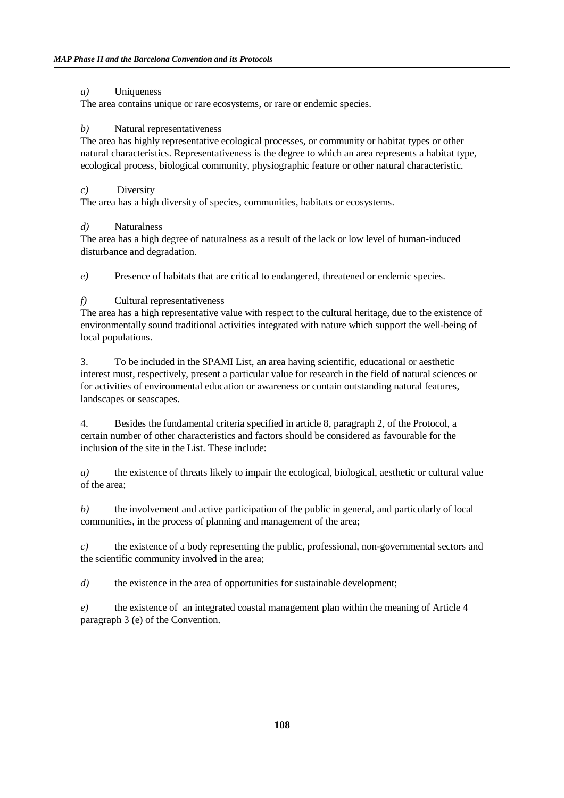# *a)* Uniqueness

The area contains unique or rare ecosystems, or rare or endemic species.

# *b)* Natural representativeness

The area has highly representative ecological processes, or community or habitat types or other natural characteristics. Representativeness is the degree to which an area represents a habitat type, ecological process, biological community, physiographic feature or other natural characteristic.

# *c)* Diversity

The area has a high diversity of species, communities, habitats or ecosystems.

# *d)* Naturalness

The area has a high degree of naturalness as a result of the lack or low level of human-induced disturbance and degradation.

*e)* Presence of habitats that are critical to endangered, threatened or endemic species.

# *f)* Cultural representativeness

The area has a high representative value with respect to the cultural heritage, due to the existence of environmentally sound traditional activities integrated with nature which support the well-being of local populations.

3. To be included in the SPAMI List, an area having scientific, educational or aesthetic interest must, respectively, present a particular value for research in the field of natural sciences or for activities of environmental education or awareness or contain outstanding natural features, landscapes or seascapes.

4. Besides the fundamental criteria specified in article 8, paragraph 2, of the Protocol, a certain number of other characteristics and factors should be considered as favourable for the inclusion of the site in the List. These include:

*a)* the existence of threats likely to impair the ecological, biological, aesthetic or cultural value of the area;

*b*) the involvement and active participation of the public in general, and particularly of local communities, in the process of planning and management of the area;

*c)* the existence of a body representing the public, professional, non-governmental sectors and the scientific community involved in the area;

*d*) the existence in the area of opportunities for sustainable development;

*e)* the existence of an integrated coastal management plan within the meaning of Article 4 paragraph 3 (e) of the Convention.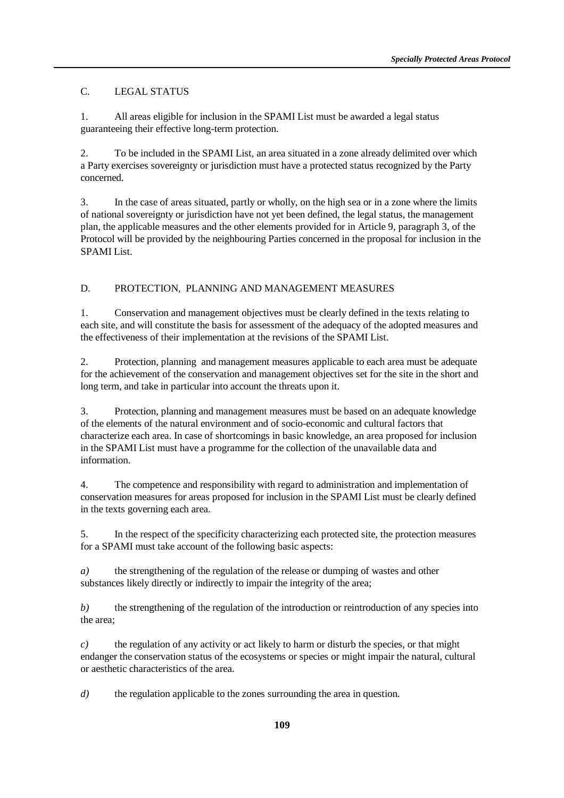# C. LEGAL STATUS

1. All areas eligible for inclusion in the SPAMI List must be awarded a legal status guaranteeing their effective long-term protection.

2. To be included in the SPAMI List, an area situated in a zone already delimited over which a Party exercises sovereignty or jurisdiction must have a protected status recognized by the Party concerned.

3. In the case of areas situated, partly or wholly, on the high sea or in a zone where the limits of national sovereignty or jurisdiction have not yet been defined, the legal status, the management plan, the applicable measures and the other elements provided for in Article 9, paragraph 3, of the Protocol will be provided by the neighbouring Parties concerned in the proposal for inclusion in the SPAMI List.

# D. PROTECTION, PLANNING AND MANAGEMENT MEASURES

1. Conservation and management objectives must be clearly defined in the texts relating to each site, and will constitute the basis for assessment of the adequacy of the adopted measures and the effectiveness of their implementation at the revisions of the SPAMI List.

2. Protection, planning and management measures applicable to each area must be adequate for the achievement of the conservation and management objectives set for the site in the short and long term, and take in particular into account the threats upon it.

3. Protection, planning and management measures must be based on an adequate knowledge of the elements of the natural environment and of socio-economic and cultural factors that characterize each area. In case of shortcomings in basic knowledge, an area proposed for inclusion in the SPAMI List must have a programme for the collection of the unavailable data and information.

4. The competence and responsibility with regard to administration and implementation of conservation measures for areas proposed for inclusion in the SPAMI List must be clearly defined in the texts governing each area.

5. In the respect of the specificity characterizing each protected site, the protection measures for a SPAMI must take account of the following basic aspects:

*a*) the strengthening of the regulation of the release or dumping of wastes and other substances likely directly or indirectly to impair the integrity of the area;

*b*) the strengthening of the regulation of the introduction or reintroduction of any species into the area;

*c)* the regulation of any activity or act likely to harm or disturb the species, or that might endanger the conservation status of the ecosystems or species or might impair the natural, cultural or aesthetic characteristics of the area.

*d)* the regulation applicable to the zones surrounding the area in question.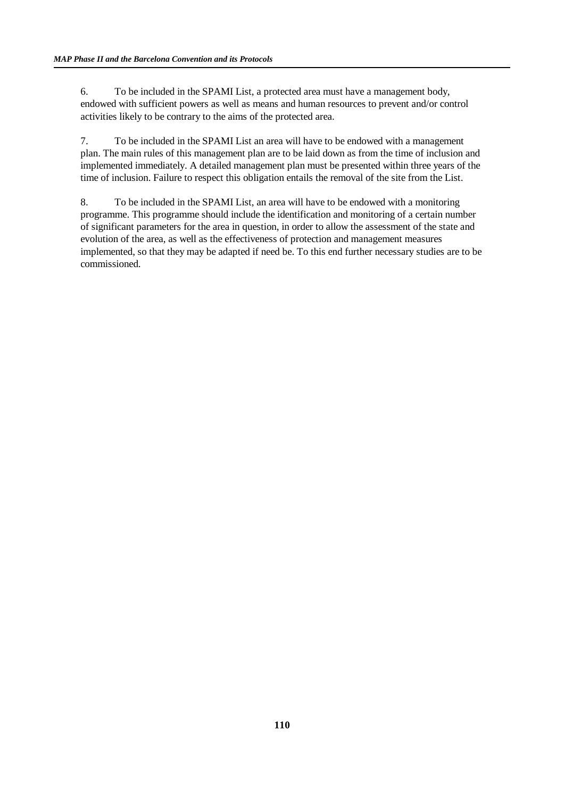6. To be included in the SPAMI List, a protected area must have a management body, endowed with sufficient powers as well as means and human resources to prevent and/or control activities likely to be contrary to the aims of the protected area.

7. To be included in the SPAMI List an area will have to be endowed with a management plan. The main rules of this management plan are to be laid down as from the time of inclusion and implemented immediately. A detailed management plan must be presented within three years of the time of inclusion. Failure to respect this obligation entails the removal of the site from the List.

8. To be included in the SPAMI List, an area will have to be endowed with a monitoring programme. This programme should include the identification and monitoring of a certain number of significant parameters for the area in question, in order to allow the assessment of the state and evolution of the area, as well as the effectiveness of protection and management measures implemented, so that they may be adapted if need be. To this end further necessary studies are to be commissioned.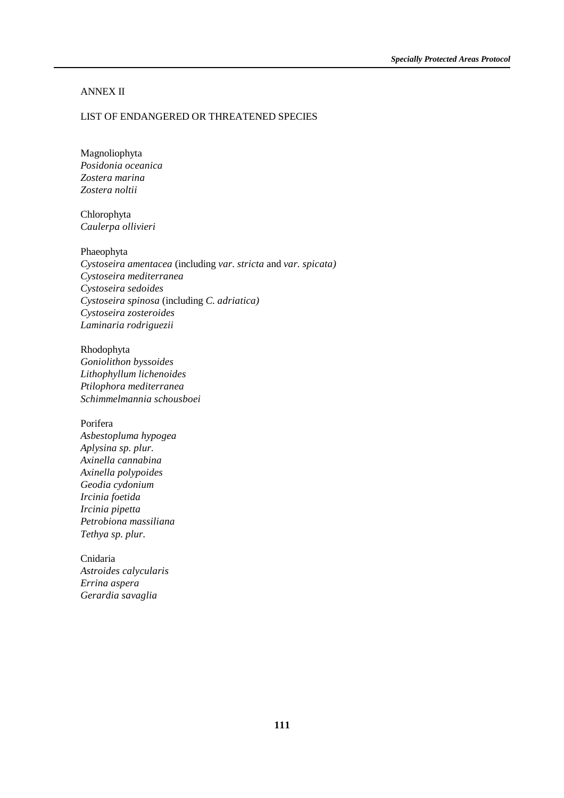# ANNEX II

# LIST OF ENDANGERED OR THREATENED SPECIES

Magnoliophyta *Posidonia oceanica Zostera marina Zostera noltii*

Chlorophyta *Caulerpa ollivieri*

Phaeophyta *Cystoseira amentacea* (including *var. stricta* and *var. spicata) Cystoseira mediterranea Cystoseira sedoides Cystoseira spinosa* (including *C. adriatica) Cystoseira zosteroides Laminaria rodriguezii*

Rhodophyta *Goniolithon byssoides Lithophyllum lichenoides Ptilophora mediterranea Schimmelmannia schousboei*

### Porifera

*Asbestopluma hypogea Aplysina sp. plur. Axinella cannabina Axinella polypoides Geodia cydonium Ircinia foetida Ircinia pipetta Petrobiona massiliana Tethya sp. plur.*

Cnidaria *Astroides calycularis Errina aspera Gerardia savaglia*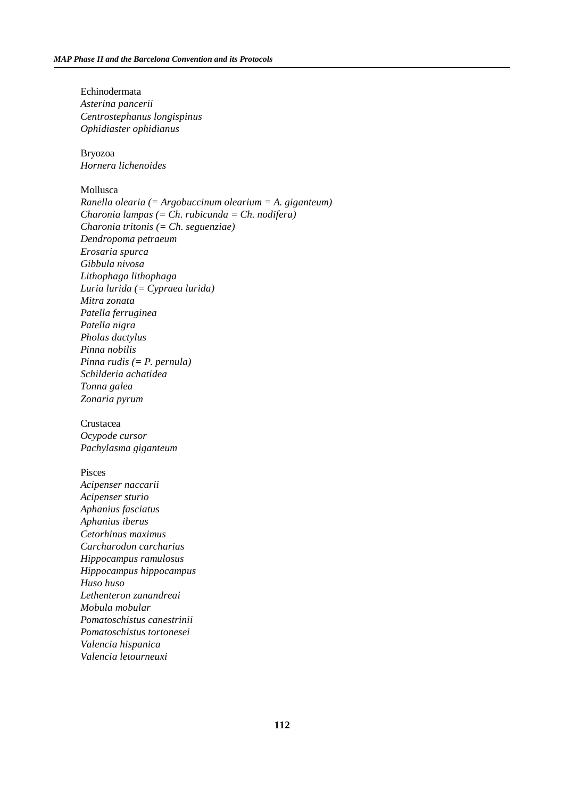Echinodermata *Asterina pancerii Centrostephanus longispinus Ophidiaster ophidianus*

Bryozoa *Hornera lichenoides*

Mollusca

*Ranella olearia (= Argobuccinum olearium = A. giganteum) Charonia lampas (= Ch. rubicunda = Ch. nodifera) Charonia tritonis (= Ch. seguenziae) Dendropoma petraeum Erosaria spurca Gibbula nivosa Lithophaga lithophaga Luria lurida (= Cypraea lurida) Mitra zonata Patella ferruginea Patella nigra Pholas dactylus Pinna nobilis Pinna rudis (= P. pernula) Schilderia achatidea Tonna galea Zonaria pyrum*  Crustacea

*Ocypode cursor Pachylasma giganteum*

Pisces

*Acipenser naccarii Acipenser sturio Aphanius fasciatus Aphanius iberus Cetorhinus maximus Carcharodon carcharias Hippocampus ramulosus Hippocampus hippocampus Huso huso Lethenteron zanandreai Mobula mobular Pomatoschistus canestrinii Pomatoschistus tortonesei Valencia hispanica Valencia letourneuxi*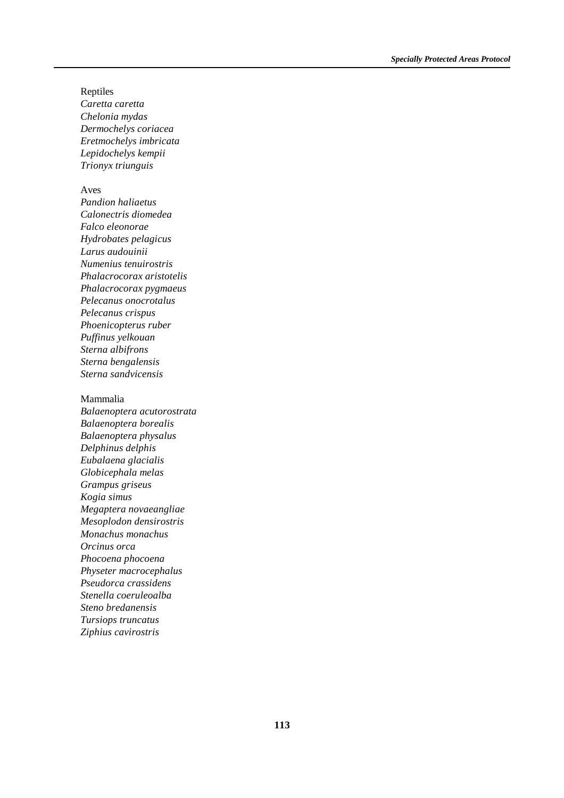Reptiles *Caretta caretta Chelonia mydas Dermochelys coriacea Eretmochelys imbricata Lepidochelys kempii Trionyx triunguis*

#### Aves

*Pandion haliaetus Calonectris diomedea Falco eleonorae Hydrobates pelagicus Larus audouinii Numenius tenuirostris Phalacrocorax aristotelis Phalacrocorax pygmaeus Pelecanus onocrotalus Pelecanus crispus Phoenicopterus ruber Puffinus yelkouan Sterna albifrons Sterna bengalensis Sterna sandvicensis*

#### Mammalia

*Balaenoptera acutorostrata Balaenoptera borealis Balaenoptera physalus Delphinus delphis Eubalaena glacialis Globicephala melas Grampus griseus Kogia simus Megaptera novaeangliae Mesoplodon densirostris Monachus monachus Orcinus orca Phocoena phocoena Physeter macrocephalus Pseudorca crassidens Stenella coeruleoalba Steno bredanensis Tursiops truncatus Ziphius cavirostris*